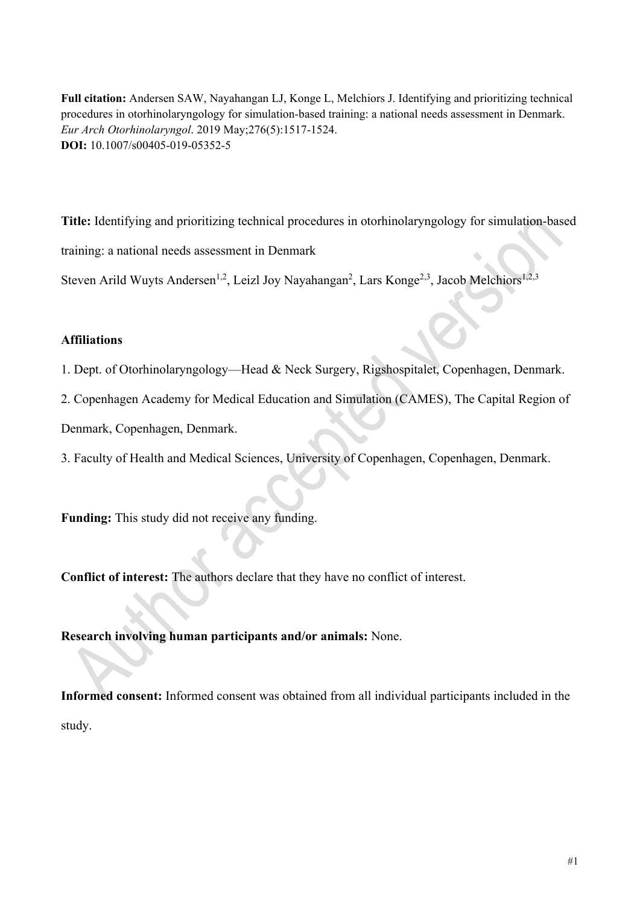**Full citation:** Andersen SAW, Nayahangan LJ, Konge L, Melchiors J. Identifying and prioritizing technical procedures in otorhinolaryngology for simulation-based training: a national needs assessment in Denmark. *Eur Arch Otorhinolaryngol*. 2019 May;276(5):1517-1524. **DOI:** 10.1007/s00405-019-05352-5

**Title:** Identifying and prioritizing technical procedures in otorhinolaryngology for simulation-based

training: a national needs assessment in Denmark

Steven Arild Wuyts Andersen<sup>1,2</sup>, Leizl Joy Nayahangan<sup>2</sup>, Lars Konge<sup>2,3</sup>, Jacob Melchiors<sup>1,2,3</sup>

# **Affiliations**

1. Dept. of Otorhinolaryngology—Head & Neck Surgery, Rigshospitalet, Copenhagen, Denmark.

2. Copenhagen Academy for Medical Education and Simulation (CAMES), The Capital Region of

Denmark, Copenhagen, Denmark.

3. Faculty of Health and Medical Sciences, University of Copenhagen, Copenhagen, Denmark.

**Funding:** This study did not receive any funding.

**Conflict of interest:** The authors declare that they have no conflict of interest.

**Research involving human participants and/or animals:** None.

**Informed consent:** Informed consent was obtained from all individual participants included in the study.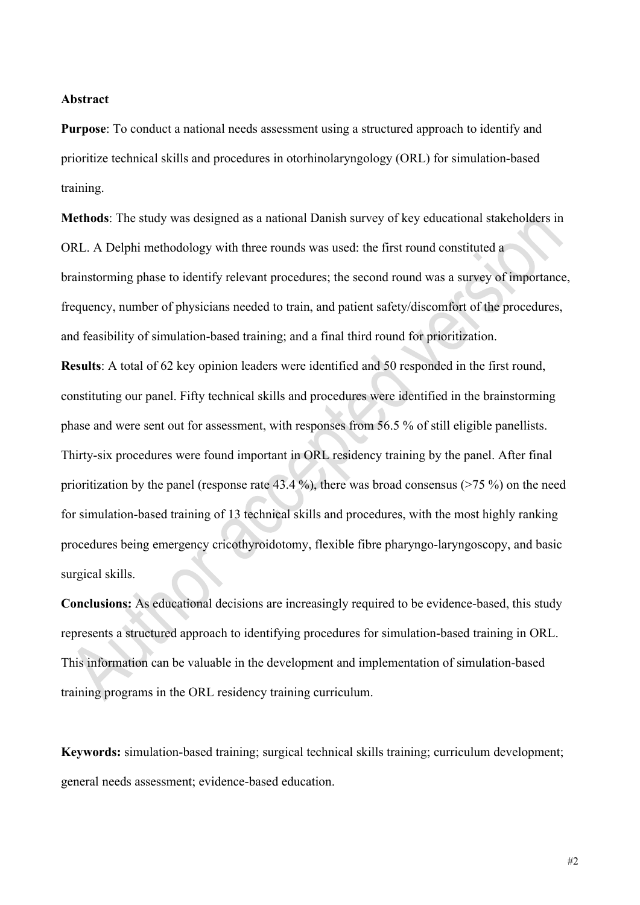### **Abstract**

**Purpose**: To conduct a national needs assessment using a structured approach to identify and prioritize technical skills and procedures in otorhinolaryngology (ORL) for simulation-based training.

**Methods**: The study was designed as a national Danish survey of key educational stakeholders in ORL. A Delphi methodology with three rounds was used: the first round constituted a brainstorming phase to identify relevant procedures; the second round was a survey of importance, frequency, number of physicians needed to train, and patient safety/discomfort of the procedures, and feasibility of simulation-based training; and a final third round for prioritization.

**Results**: A total of 62 key opinion leaders were identified and 50 responded in the first round, constituting our panel. Fifty technical skills and procedures were identified in the brainstorming phase and were sent out for assessment, with responses from 56.5 % of still eligible panellists. Thirty-six procedures were found important in ORL residency training by the panel. After final prioritization by the panel (response rate 43.4 %), there was broad consensus (>75 %) on the need for simulation-based training of 13 technical skills and procedures, with the most highly ranking procedures being emergency cricothyroidotomy, flexible fibre pharyngo-laryngoscopy, and basic surgical skills.

**Conclusions:** As educational decisions are increasingly required to be evidence-based, this study represents a structured approach to identifying procedures for simulation-based training in ORL. This information can be valuable in the development and implementation of simulation-based training programs in the ORL residency training curriculum.

**Keywords:** simulation-based training; surgical technical skills training; curriculum development; general needs assessment; evidence-based education.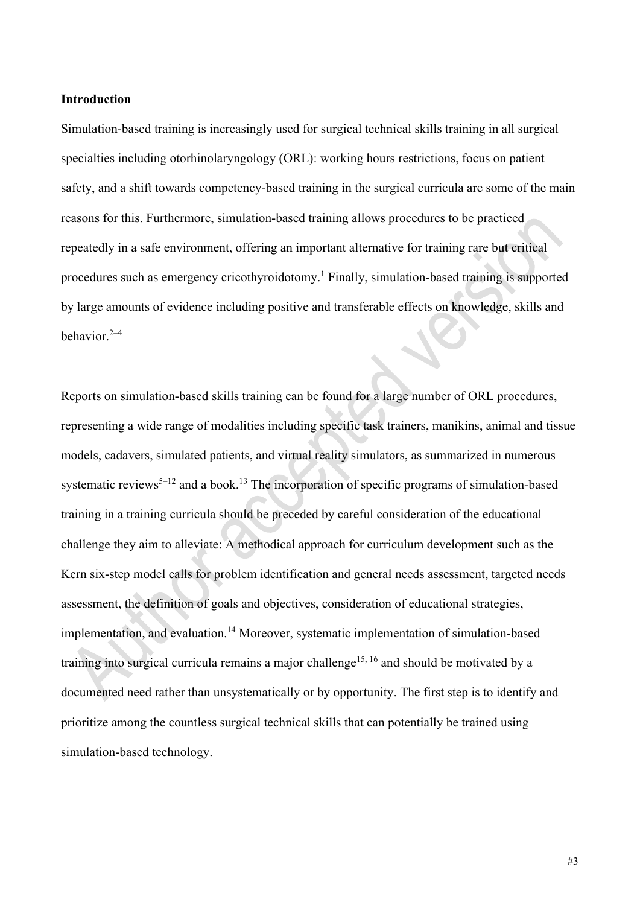### **Introduction**

Simulation-based training is increasingly used for surgical technical skills training in all surgical specialties including otorhinolaryngology (ORL): working hours restrictions, focus on patient safety, and a shift towards competency-based training in the surgical curricula are some of the main reasons for this. Furthermore, simulation-based training allows procedures to be practiced repeatedly in a safe environment, offering an important alternative for training rare but critical procedures such as emergency cricothyroidotomy. <sup>1</sup> Finally, simulation-based training is supported by large amounts of evidence including positive and transferable effects on knowledge, skills and behavior. 2–4

Reports on simulation-based skills training can be found for a large number of ORL procedures, representing a wide range of modalities including specific task trainers, manikins, animal and tissue models, cadavers, simulated patients, and virtual reality simulators, as summarized in numerous systematic reviews<sup>5–12</sup> and a book.<sup>13</sup> The incorporation of specific programs of simulation-based training in a training curricula should be preceded by careful consideration of the educational challenge they aim to alleviate: A methodical approach for curriculum development such as the Kern six-step model calls for problem identification and general needs assessment, targeted needs assessment, the definition of goals and objectives, consideration of educational strategies, implementation, and evaluation. <sup>14</sup> Moreover, systematic implementation of simulation-based training into surgical curricula remains a major challenge<sup>15, 16</sup> and should be motivated by a documented need rather than unsystematically or by opportunity. The first step is to identify and prioritize among the countless surgical technical skills that can potentially be trained using simulation-based technology.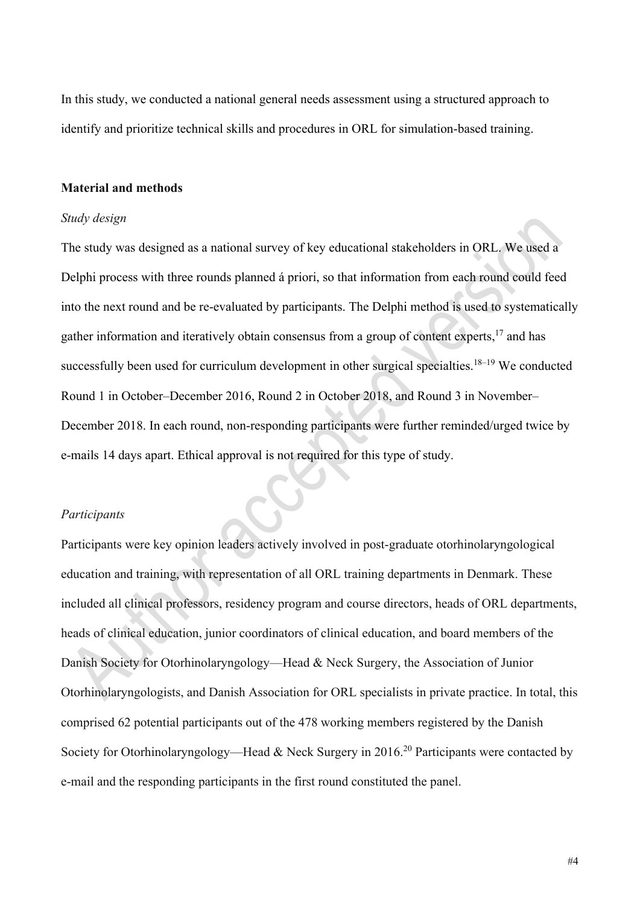In this study, we conducted a national general needs assessment using a structured approach to identify and prioritize technical skills and procedures in ORL for simulation-based training.

## **Material and methods**

## *Study design*

The study was designed as a national survey of key educational stakeholders in ORL. We used a Delphi process with three rounds planned á priori, so that information from each round could feed into the next round and be re-evaluated by participants. The Delphi method is used to systematically gather information and iteratively obtain consensus from a group of content experts,<sup>17</sup> and has successfully been used for curriculum development in other surgical specialties.<sup>18–19</sup> We conducted Round 1 in October–December 2016, Round 2 in October 2018, and Round 3 in November– December 2018. In each round, non-responding participants were further reminded/urged twice by e-mails 14 days apart. Ethical approval is not required for this type of study.

# *Participants*

Participants were key opinion leaders actively involved in post-graduate otorhinolaryngological education and training, with representation of all ORL training departments in Denmark. These included all clinical professors, residency program and course directors, heads of ORL departments, heads of clinical education, junior coordinators of clinical education, and board members of the Danish Society for Otorhinolaryngology—Head & Neck Surgery, the Association of Junior Otorhinolaryngologists, and Danish Association for ORL specialists in private practice. In total, this comprised 62 potential participants out of the 478 working members registered by the Danish Society for Otorhinolaryngology—Head & Neck Surgery in 2016.<sup>20</sup> Participants were contacted by e-mail and the responding participants in the first round constituted the panel.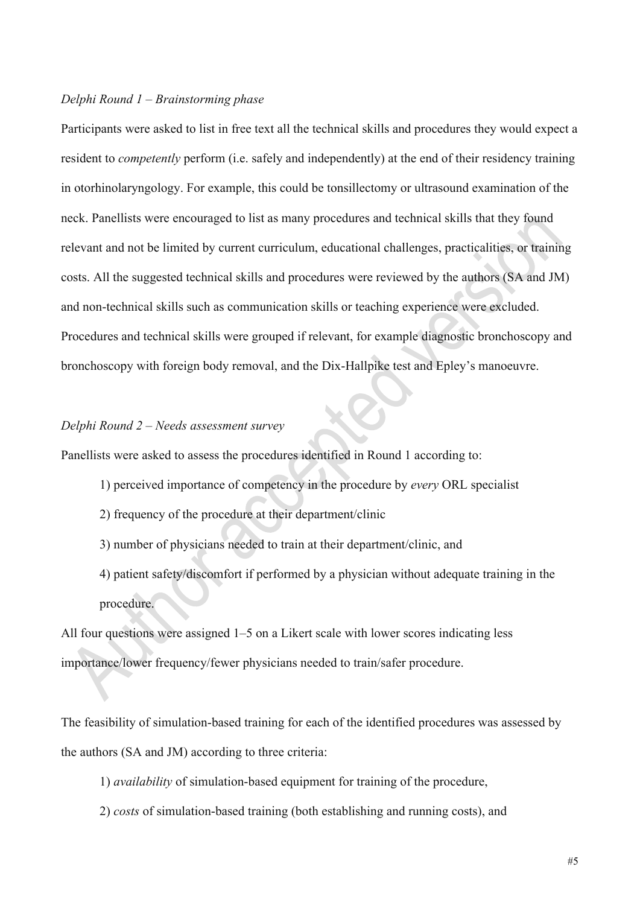## *Delphi Round 1 – Brainstorming phase*

Participants were asked to list in free text all the technical skills and procedures they would expect a resident to *competently* perform (i.e. safely and independently) at the end of their residency training in otorhinolaryngology. For example, this could be tonsillectomy or ultrasound examination of the neck. Panellists were encouraged to list as many procedures and technical skills that they found relevant and not be limited by current curriculum, educational challenges, practicalities, or training costs. All the suggested technical skills and procedures were reviewed by the authors (SA and JM) and non-technical skills such as communication skills or teaching experience were excluded. Procedures and technical skills were grouped if relevant, for example diagnostic bronchoscopy and bronchoscopy with foreign body removal, and the Dix-Hallpike test and Epley's manoeuvre.

### *Delphi Round 2 – Needs assessment survey*

Panellists were asked to assess the procedures identified in Round 1 according to:

- 1) perceived importance of competency in the procedure by *every* ORL specialist
- 2) frequency of the procedure at their department/clinic
- 3) number of physicians needed to train at their department/clinic, and
- 4) patient safety/discomfort if performed by a physician without adequate training in the procedure.

All four questions were assigned 1–5 on a Likert scale with lower scores indicating less importance/lower frequency/fewer physicians needed to train/safer procedure.

The feasibility of simulation-based training for each of the identified procedures was assessed by the authors (SA and JM) according to three criteria:

- 1) *availability* of simulation-based equipment for training of the procedure,
- 2) *costs* of simulation-based training (both establishing and running costs), and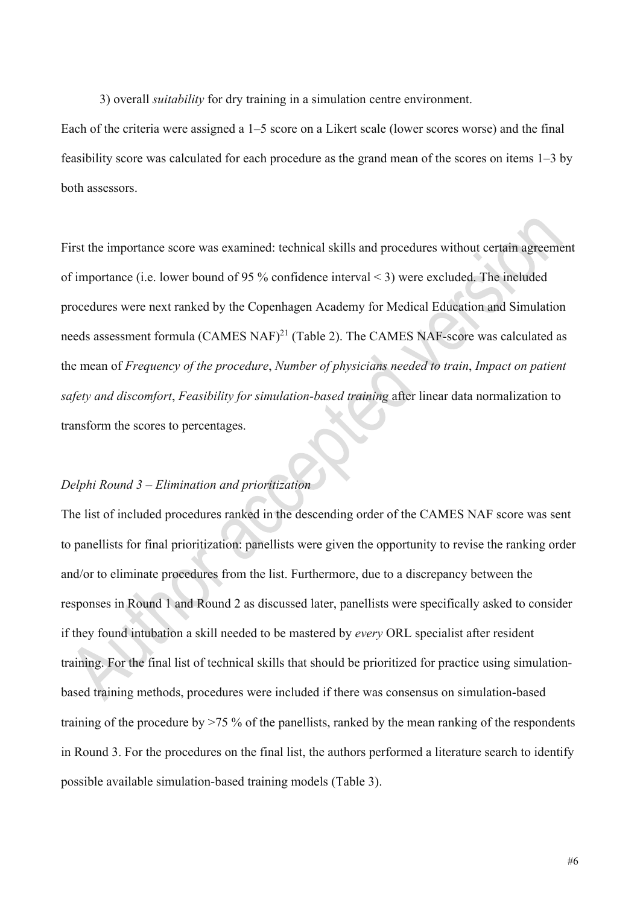3) overall *suitability* for dry training in a simulation centre environment.

Each of the criteria were assigned a 1–5 score on a Likert scale (lower scores worse) and the final feasibility score was calculated for each procedure as the grand mean of the scores on items 1–3 by both assessors.

First the importance score was examined: technical skills and procedures without certain agreement of importance (i.e. lower bound of 95 % confidence interval < 3) were excluded. The included procedures were next ranked by the Copenhagen Academy for Medical Education and Simulation needs assessment formula  $(CAMES NAF)^{21}$  (Table 2). The CAMES NAF-score was calculated as the mean of *Frequency of the procedure*, *Number of physicians needed to train*, *Impact on patient safety and discomfort*, *Feasibility for simulation-based training* after linear data normalization to transform the scores to percentages.

# *Delphi Round 3 – Elimination and prioritization*

The list of included procedures ranked in the descending order of the CAMES NAF score was sent to panellists for final prioritization: panellists were given the opportunity to revise the ranking order and/or to eliminate procedures from the list. Furthermore, due to a discrepancy between the responses in Round 1 and Round 2 as discussed later, panellists were specifically asked to consider if they found intubation a skill needed to be mastered by *every* ORL specialist after resident training. For the final list of technical skills that should be prioritized for practice using simulationbased training methods, procedures were included if there was consensus on simulation-based training of the procedure by >75 % of the panellists, ranked by the mean ranking of the respondents in Round 3. For the procedures on the final list, the authors performed a literature search to identify possible available simulation-based training models (Table 3).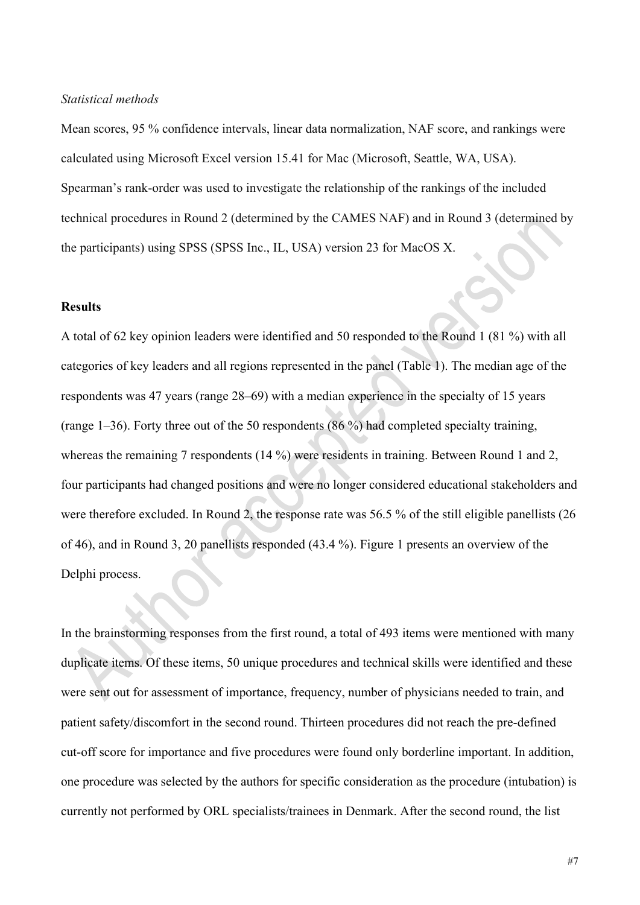### *Statistical methods*

Mean scores, 95 % confidence intervals, linear data normalization, NAF score, and rankings were calculated using Microsoft Excel version 15.41 for Mac (Microsoft, Seattle, WA, USA). Spearman's rank-order was used to investigate the relationship of the rankings of the included technical procedures in Round 2 (determined by the CAMES NAF) and in Round 3 (determined by the participants) using SPSS (SPSS Inc., IL, USA) version 23 for MacOS X.

### **Results**

A total of 62 key opinion leaders were identified and 50 responded to the Round 1 (81 %) with all categories of key leaders and all regions represented in the panel (Table 1). The median age of the respondents was 47 years (range 28–69) with a median experience in the specialty of 15 years (range 1–36). Forty three out of the 50 respondents (86 %) had completed specialty training, whereas the remaining 7 respondents (14 %) were residents in training. Between Round 1 and 2, four participants had changed positions and were no longer considered educational stakeholders and were therefore excluded. In Round 2, the response rate was 56.5 % of the still eligible panellists (26 of 46), and in Round 3, 20 panellists responded (43.4 %). Figure 1 presents an overview of the Delphi process.

In the brainstorming responses from the first round, a total of 493 items were mentioned with many duplicate items. Of these items, 50 unique procedures and technical skills were identified and these were sent out for assessment of importance, frequency, number of physicians needed to train, and patient safety/discomfort in the second round. Thirteen procedures did not reach the pre-defined cut-off score for importance and five procedures were found only borderline important. In addition, one procedure was selected by the authors for specific consideration as the procedure (intubation) is currently not performed by ORL specialists/trainees in Denmark. After the second round, the list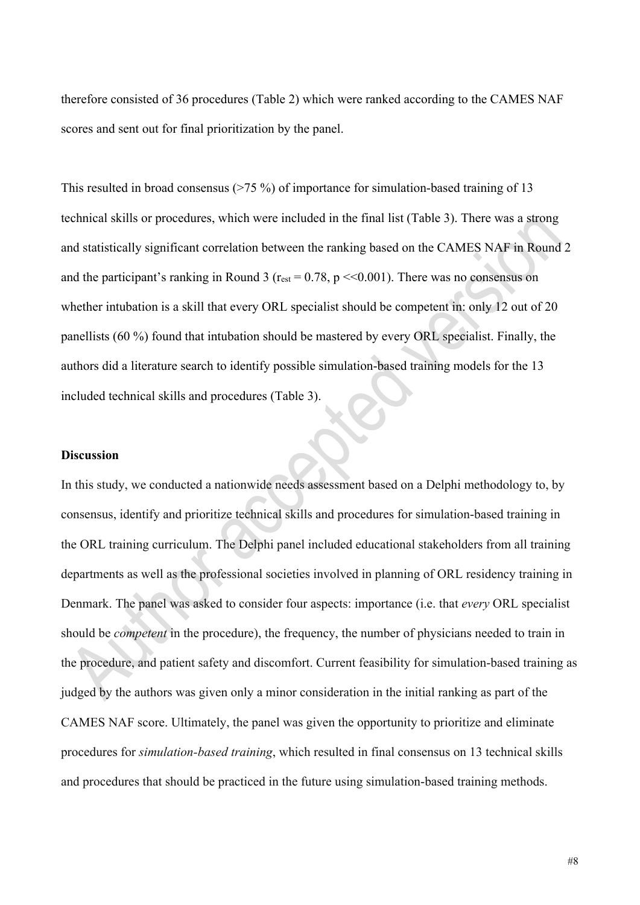therefore consisted of 36 procedures (Table 2) which were ranked according to the CAMES NAF scores and sent out for final prioritization by the panel.

This resulted in broad consensus  $(275\%)$  of importance for simulation-based training of 13 technical skills or procedures, which were included in the final list (Table 3). There was a strong and statistically significant correlation between the ranking based on the CAMES NAF in Round 2 and the participant's ranking in Round 3 ( $r_{est} = 0.78$ ,  $p \ll 0.001$ ). There was no consensus on whether intubation is a skill that every ORL specialist should be competent in: only 12 out of 20 panellists (60 %) found that intubation should be mastered by every ORL specialist. Finally, the authors did a literature search to identify possible simulation-based training models for the 13 included technical skills and procedures (Table 3).

#### **Discussion**

In this study, we conducted a nationwide needs assessment based on a Delphi methodology to, by consensus, identify and prioritize technical skills and procedures for simulation-based training in the ORL training curriculum. The Delphi panel included educational stakeholders from all training departments as well as the professional societies involved in planning of ORL residency training in Denmark. The panel was asked to consider four aspects: importance (i.e. that *every* ORL specialist should be *competent* in the procedure), the frequency, the number of physicians needed to train in the procedure, and patient safety and discomfort. Current feasibility for simulation-based training as judged by the authors was given only a minor consideration in the initial ranking as part of the CAMES NAF score. Ultimately, the panel was given the opportunity to prioritize and eliminate procedures for *simulation-based training*, which resulted in final consensus on 13 technical skills and procedures that should be practiced in the future using simulation-based training methods.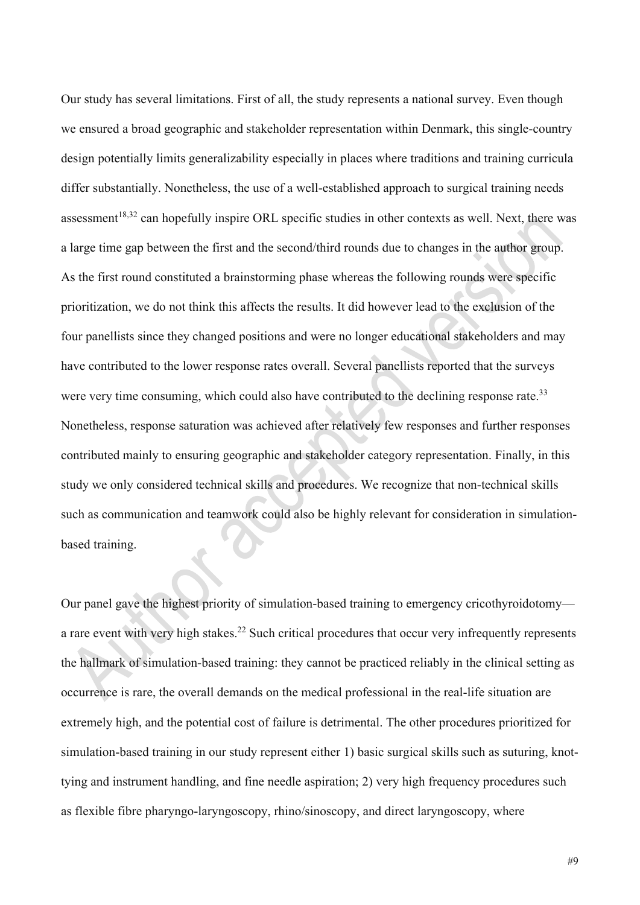Our study has several limitations. First of all, the study represents a national survey. Even though we ensured a broad geographic and stakeholder representation within Denmark, this single-country design potentially limits generalizability especially in places where traditions and training curricula differ substantially. Nonetheless, the use of a well-established approach to surgical training needs assessment<sup>18,32</sup> can hopefully inspire ORL specific studies in other contexts as well. Next, there was a large time gap between the first and the second/third rounds due to changes in the author group. As the first round constituted a brainstorming phase whereas the following rounds were specific prioritization, we do not think this affects the results. It did however lead to the exclusion of the four panellists since they changed positions and were no longer educational stakeholders and may have contributed to the lower response rates overall. Several panellists reported that the surveys were very time consuming, which could also have contributed to the declining response rate.<sup>33</sup> Nonetheless, response saturation was achieved after relatively few responses and further responses contributed mainly to ensuring geographic and stakeholder category representation. Finally, in this study we only considered technical skills and procedures. We recognize that non-technical skills such as communication and teamwork could also be highly relevant for consideration in simulationbased training.

Our panel gave the highest priority of simulation-based training to emergency cricothyroidotomy a rare event with very high stakes.<sup>22</sup> Such critical procedures that occur very infrequently represents the hallmark of simulation-based training: they cannot be practiced reliably in the clinical setting as occurrence is rare, the overall demands on the medical professional in the real-life situation are extremely high, and the potential cost of failure is detrimental. The other procedures prioritized for simulation-based training in our study represent either 1) basic surgical skills such as suturing, knottying and instrument handling, and fine needle aspiration; 2) very high frequency procedures such as flexible fibre pharyngo-laryngoscopy, rhino/sinoscopy, and direct laryngoscopy, where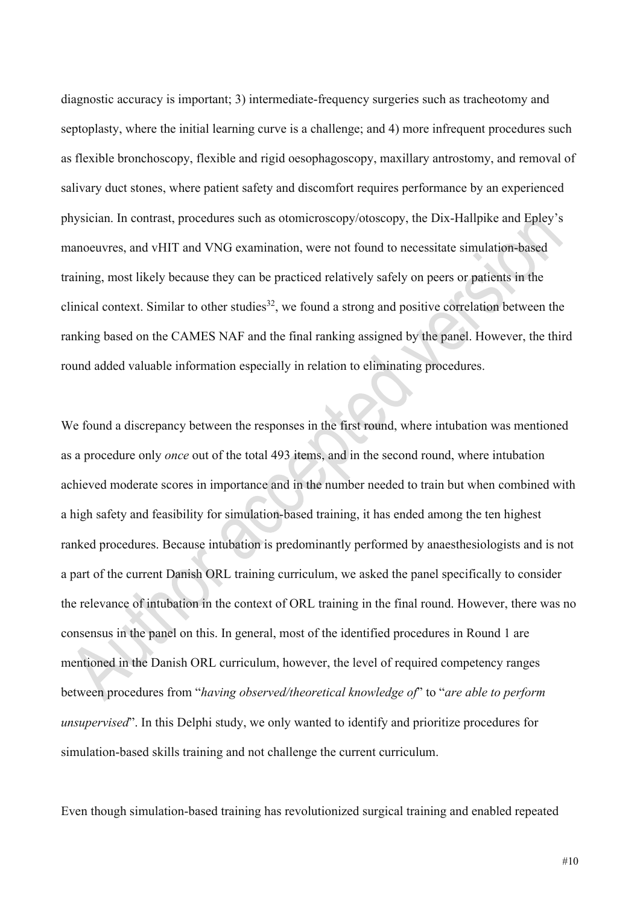diagnostic accuracy is important; 3) intermediate-frequency surgeries such as tracheotomy and septoplasty, where the initial learning curve is a challenge; and 4) more infrequent procedures such as flexible bronchoscopy, flexible and rigid oesophagoscopy, maxillary antrostomy, and removal of salivary duct stones, where patient safety and discomfort requires performance by an experienced physician. In contrast, procedures such as otomicroscopy/otoscopy, the Dix-Hallpike and Epley's manoeuvres, and vHIT and VNG examination, were not found to necessitate simulation-based training, most likely because they can be practiced relatively safely on peers or patients in the clinical context. Similar to other studies<sup>32</sup>, we found a strong and positive correlation between the ranking based on the CAMES NAF and the final ranking assigned by the panel. However, the third round added valuable information especially in relation to eliminating procedures.

We found a discrepancy between the responses in the first round, where intubation was mentioned as a procedure only *once* out of the total 493 items, and in the second round, where intubation achieved moderate scores in importance and in the number needed to train but when combined with a high safety and feasibility for simulation-based training, it has ended among the ten highest ranked procedures. Because intubation is predominantly performed by anaesthesiologists and is not a part of the current Danish ORL training curriculum, we asked the panel specifically to consider the relevance of intubation in the context of ORL training in the final round. However, there was no consensus in the panel on this. In general, most of the identified procedures in Round 1 are mentioned in the Danish ORL curriculum, however, the level of required competency ranges between procedures from "*having observed/theoretical knowledge of*" to "*are able to perform unsupervised*". In this Delphi study, we only wanted to identify and prioritize procedures for simulation-based skills training and not challenge the current curriculum.

Even though simulation-based training has revolutionized surgical training and enabled repeated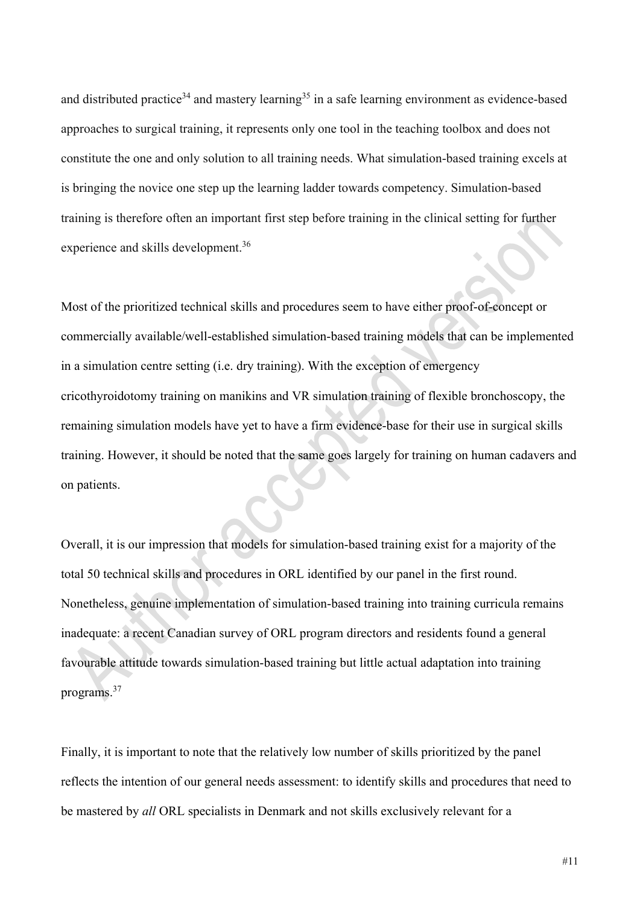and distributed practice<sup>34</sup> and mastery learning<sup>35</sup> in a safe learning environment as evidence-based approaches to surgical training, it represents only one tool in the teaching toolbox and does not constitute the one and only solution to all training needs. What simulation-based training excels at is bringing the novice one step up the learning ladder towards competency. Simulation-based training is therefore often an important first step before training in the clinical setting for further experience and skills development.<sup>36</sup>

Most of the prioritized technical skills and procedures seem to have either proof-of-concept or commercially available/well-established simulation-based training models that can be implemented in a simulation centre setting (i.e. dry training). With the exception of emergency cricothyroidotomy training on manikins and VR simulation training of flexible bronchoscopy, the remaining simulation models have yet to have a firm evidence-base for their use in surgical skills training. However, it should be noted that the same goes largely for training on human cadavers and on patients.

Overall, it is our impression that models for simulation-based training exist for a majority of the total 50 technical skills and procedures in ORL identified by our panel in the first round. Nonetheless, genuine implementation of simulation-based training into training curricula remains inadequate: a recent Canadian survey of ORL program directors and residents found a general favourable attitude towards simulation-based training but little actual adaptation into training programs.37

Finally, it is important to note that the relatively low number of skills prioritized by the panel reflects the intention of our general needs assessment: to identify skills and procedures that need to be mastered by *all* ORL specialists in Denmark and not skills exclusively relevant for a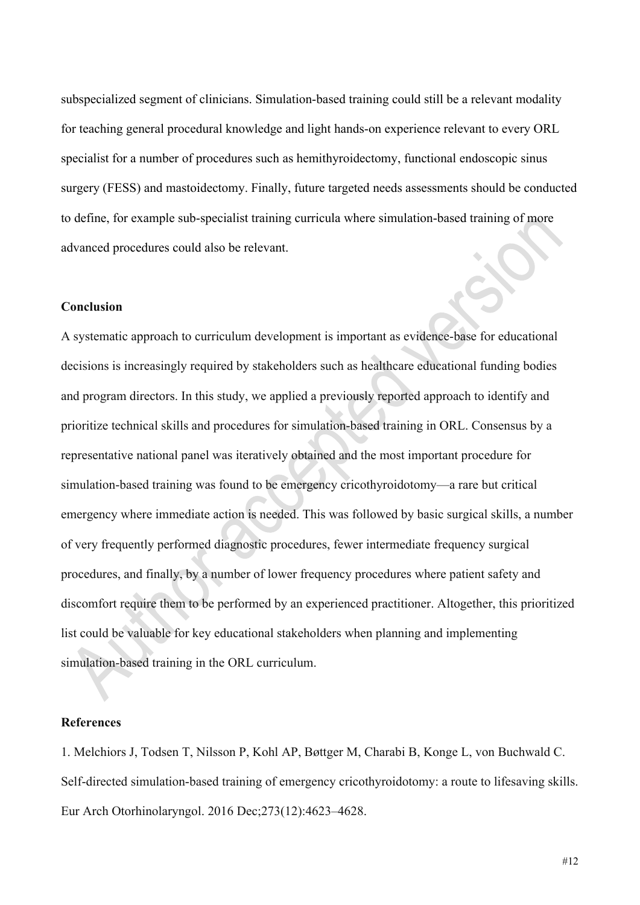subspecialized segment of clinicians. Simulation-based training could still be a relevant modality for teaching general procedural knowledge and light hands-on experience relevant to every ORL specialist for a number of procedures such as hemithyroidectomy, functional endoscopic sinus surgery (FESS) and mastoidectomy. Finally, future targeted needs assessments should be conducted to define, for example sub-specialist training curricula where simulation-based training of more advanced procedures could also be relevant.

### **Conclusion**

A systematic approach to curriculum development is important as evidence-base for educational decisions is increasingly required by stakeholders such as healthcare educational funding bodies and program directors. In this study, we applied a previously reported approach to identify and prioritize technical skills and procedures for simulation-based training in ORL. Consensus by a representative national panel was iteratively obtained and the most important procedure for simulation-based training was found to be emergency cricothyroidotomy—a rare but critical emergency where immediate action is needed. This was followed by basic surgical skills, a number of very frequently performed diagnostic procedures, fewer intermediate frequency surgical procedures, and finally, by a number of lower frequency procedures where patient safety and discomfort require them to be performed by an experienced practitioner. Altogether, this prioritized list could be valuable for key educational stakeholders when planning and implementing simulation-based training in the ORL curriculum.

## **References**

1. Melchiors J, Todsen T, Nilsson P, Kohl AP, Bøttger M, Charabi B, Konge L, von Buchwald C. Self-directed simulation-based training of emergency cricothyroidotomy: a route to lifesaving skills. Eur Arch Otorhinolaryngol. 2016 Dec;273(12):4623–4628.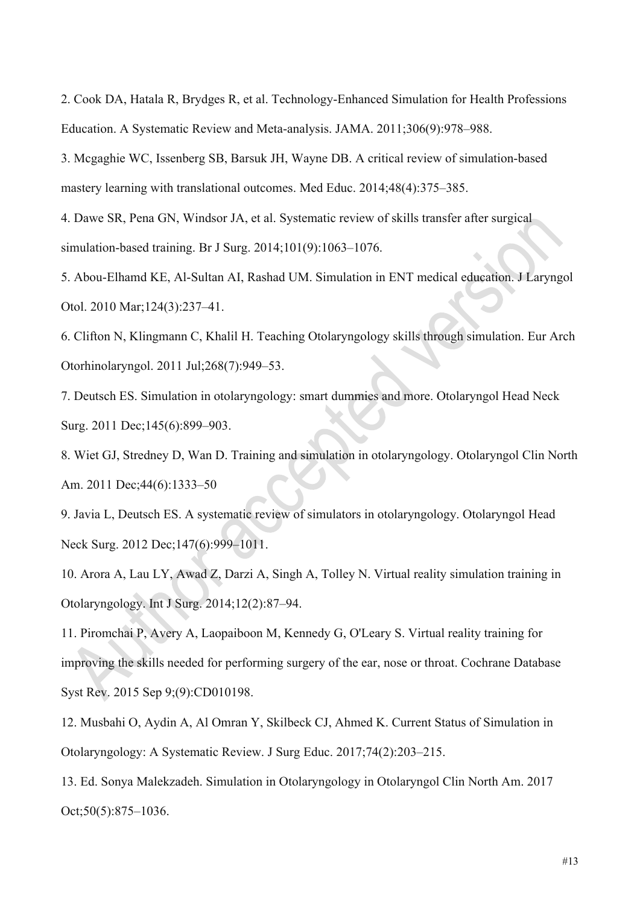2. Cook DA, Hatala R, Brydges R, et al. Technology-Enhanced Simulation for Health Professions Education. A Systematic Review and Meta-analysis. JAMA. 2011;306(9):978–988.

3. Mcgaghie WC, Issenberg SB, Barsuk JH, Wayne DB. A critical review of simulation-based mastery learning with translational outcomes. Med Educ. 2014;48(4):375–385.

4. Dawe SR, Pena GN, Windsor JA, et al. Systematic review of skills transfer after surgical simulation-based training. Br J Surg. 2014;101(9):1063–1076.

5. Abou-Elhamd KE, Al-Sultan AI, Rashad UM. Simulation in ENT medical education. J Laryngol Otol. 2010 Mar;124(3):237–41.

6. Clifton N, Klingmann C, Khalil H. Teaching Otolaryngology skills through simulation. Eur Arch Otorhinolaryngol. 2011 Jul;268(7):949–53.

7. Deutsch ES. Simulation in otolaryngology: smart dummies and more. Otolaryngol Head Neck Surg. 2011 Dec;145(6):899–903.

8. Wiet GJ, Stredney D, Wan D. Training and simulation in otolaryngology. Otolaryngol Clin North Am. 2011 Dec;44(6):1333–50

9. Javia L, Deutsch ES. A systematic review of simulators in otolaryngology. Otolaryngol Head Neck Surg. 2012 Dec;147(6):999-1011.

10. Arora A, Lau LY, Awad Z, Darzi A, Singh A, Tolley N. Virtual reality simulation training in Otolaryngology. Int J Surg. 2014;12(2):87–94.

11. Piromchai P, Avery A, Laopaiboon M, Kennedy G, O'Leary S. Virtual reality training for improving the skills needed for performing surgery of the ear, nose or throat. Cochrane Database Syst Rev. 2015 Sep 9;(9):CD010198.

12. Musbahi O, Aydin A, Al Omran Y, Skilbeck CJ, Ahmed K. Current Status of Simulation in Otolaryngology: A Systematic Review. J Surg Educ. 2017;74(2):203–215.

13. Ed. Sonya Malekzadeh. Simulation in Otolaryngology in Otolaryngol Clin North Am. 2017 Oct;50(5):875–1036.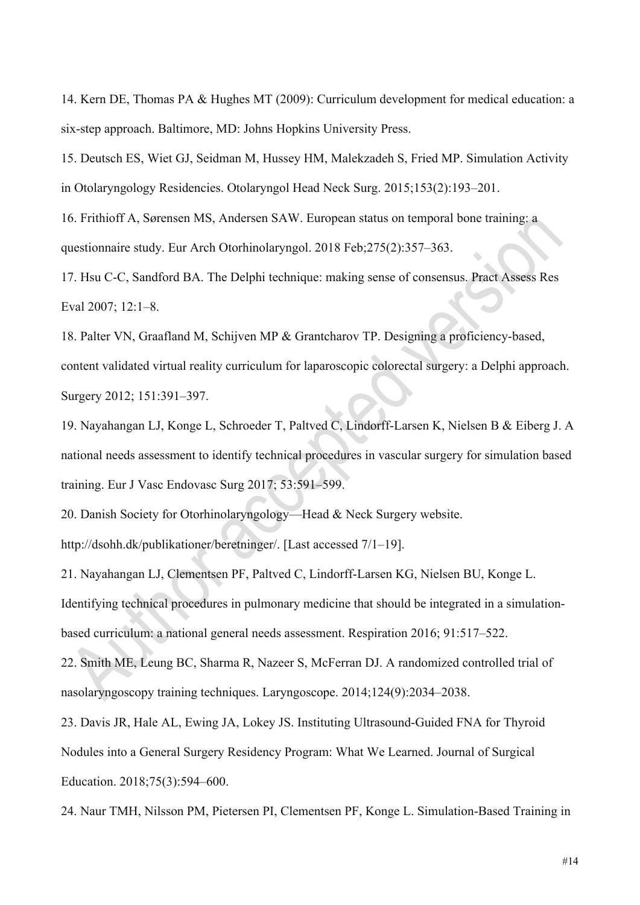14. Kern DE, Thomas PA & Hughes MT (2009): Curriculum development for medical education: a six-step approach. Baltimore, MD: Johns Hopkins University Press.

15. Deutsch ES, Wiet GJ, Seidman M, Hussey HM, Malekzadeh S, Fried MP. Simulation Activity in Otolaryngology Residencies. Otolaryngol Head Neck Surg. 2015;153(2):193–201.

16. Frithioff A, Sørensen MS, Andersen SAW. European status on temporal bone training: a questionnaire study. Eur Arch Otorhinolaryngol. 2018 Feb;275(2):357–363.

17. Hsu C-C, Sandford BA. The Delphi technique: making sense of consensus. Pract Assess Res Eval 2007; 12:1–8.

18. Palter VN, Graafland M, Schijven MP & Grantcharov TP. Designing a proficiency-based, content validated virtual reality curriculum for laparoscopic colorectal surgery: a Delphi approach. Surgery 2012; 151:391–397.

19. Nayahangan LJ, Konge L, Schroeder T, Paltved C, Lindorff-Larsen K, Nielsen B & Eiberg J. A national needs assessment to identify technical procedures in vascular surgery for simulation based training. Eur J Vasc Endovasc Surg 2017; 53:591–599.

20. Danish Society for Otorhinolaryngology—Head & Neck Surgery website.

http://dsohh.dk/publikationer/beretninger/. [Last accessed 7/1–19].

21. Nayahangan LJ, Clementsen PF, Paltved C, Lindorff-Larsen KG, Nielsen BU, Konge L. Identifying technical procedures in pulmonary medicine that should be integrated in a simulationbased curriculum: a national general needs assessment. Respiration 2016; 91:517–522.

22. Smith ME, Leung BC, Sharma R, Nazeer S, McFerran DJ. A randomized controlled trial of nasolaryngoscopy training techniques. Laryngoscope. 2014;124(9):2034–2038.

23. Davis JR, Hale AL, Ewing JA, Lokey JS. Instituting Ultrasound-Guided FNA for Thyroid Nodules into a General Surgery Residency Program: What We Learned. Journal of Surgical Education. 2018;75(3):594–600.

24. Naur TMH, Nilsson PM, Pietersen PI, Clementsen PF, Konge L. Simulation-Based Training in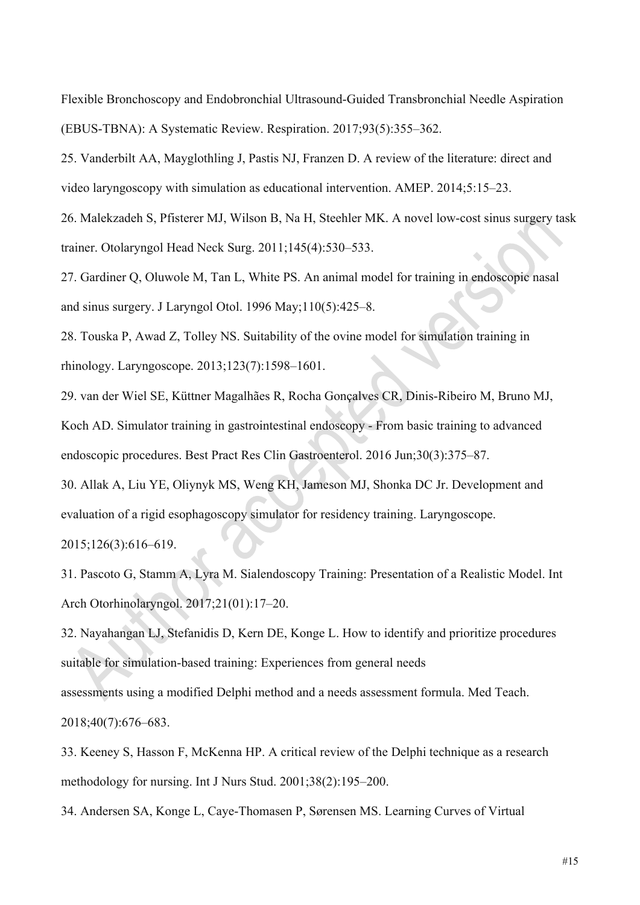Flexible Bronchoscopy and Endobronchial Ultrasound-Guided Transbronchial Needle Aspiration (EBUS-TBNA): A Systematic Review. Respiration. 2017;93(5):355–362.

25. Vanderbilt AA, Mayglothling J, Pastis NJ, Franzen D. A review of the literature: direct and video laryngoscopy with simulation as educational intervention. AMEP. 2014;5:15–23.

26. Malekzadeh S, Pfisterer MJ, Wilson B, Na H, Steehler MK. A novel low-cost sinus surgery task trainer. Otolaryngol Head Neck Surg. 2011;145(4):530–533.

27. Gardiner Q, Oluwole M, Tan L, White PS. An animal model for training in endoscopic nasal and sinus surgery. J Laryngol Otol. 1996 May;110(5):425–8.

28. Touska P, Awad Z, Tolley NS. Suitability of the ovine model for simulation training in rhinology. Laryngoscope. 2013;123(7):1598–1601.

29. van der Wiel SE, Küttner Magalhães R, Rocha Gonçalves CR, Dinis-Ribeiro M, Bruno MJ, Koch AD. Simulator training in gastrointestinal endoscopy - From basic training to advanced endoscopic procedures. Best Pract Res Clin Gastroenterol. 2016 Jun;30(3):375–87.

30. Allak A, Liu YE, Oliynyk MS, Weng KH, Jameson MJ, Shonka DC Jr. Development and evaluation of a rigid esophagoscopy simulator for residency training. Laryngoscope.

2015;126(3):616–619.

31. Pascoto G, Stamm A, Lyra M. Sialendoscopy Training: Presentation of a Realistic Model. Int Arch Otorhinolaryngol. 2017;21(01):17–20.

32. Nayahangan LJ, Stefanidis D, Kern DE, Konge L. How to identify and prioritize procedures suitable for simulation-based training: Experiences from general needs assessments using a modified Delphi method and a needs assessment formula. Med Teach.

2018;40(7):676–683.

33. Keeney S, Hasson F, McKenna HP. A critical review of the Delphi technique as a research methodology for nursing. Int J Nurs Stud. 2001;38(2):195–200.

34. Andersen SA, Konge L, Caye-Thomasen P, Sørensen MS. Learning Curves of Virtual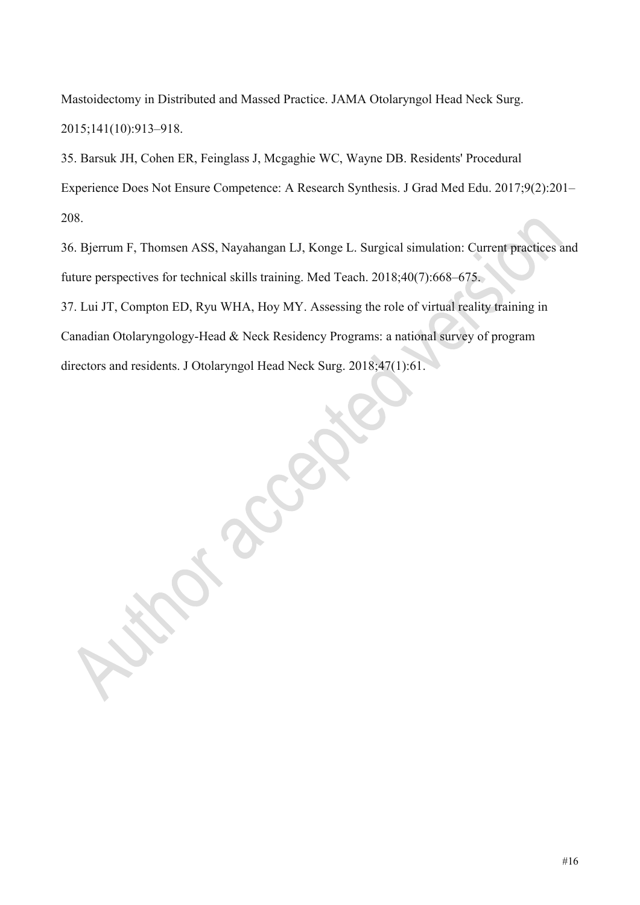Mastoidectomy in Distributed and Massed Practice. JAMA Otolaryngol Head Neck Surg. 2015;141(10):913–918.

35. Barsuk JH, Cohen ER, Feinglass J, Mcgaghie WC, Wayne DB. Residents' Procedural Experience Does Not Ensure Competence: A Research Synthesis. J Grad Med Edu. 2017;9(2):201– 208.

36. Bjerrum F, Thomsen ASS, Nayahangan LJ, Konge L. Surgical simulation: Current practices and future perspectives for technical skills training. Med Teach. 2018;40(7):668–675. 37. Lui JT, Compton ED, Ryu WHA, Hoy MY. Assessing the role of virtual reality training in Canadian Otolaryngology-Head & Neck Residency Programs: a national survey of program directors and residents. J Otolaryngol Head Neck Surg. 2018;47(1):61.

#16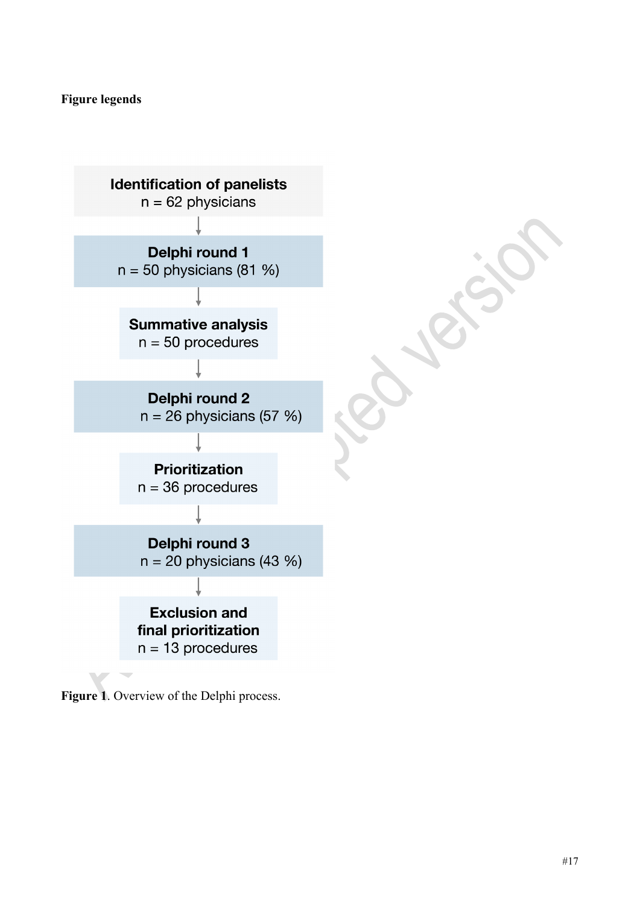# **Figure legends**



**Figure 1**. Overview of the Delphi process.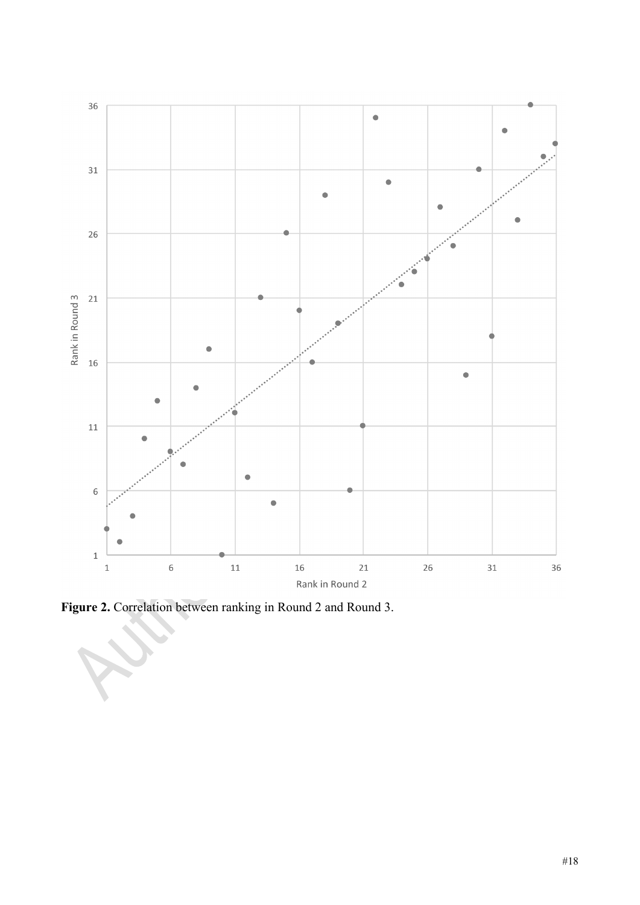

**Figure 2.** Correlation between ranking in Round 2 and Round 3.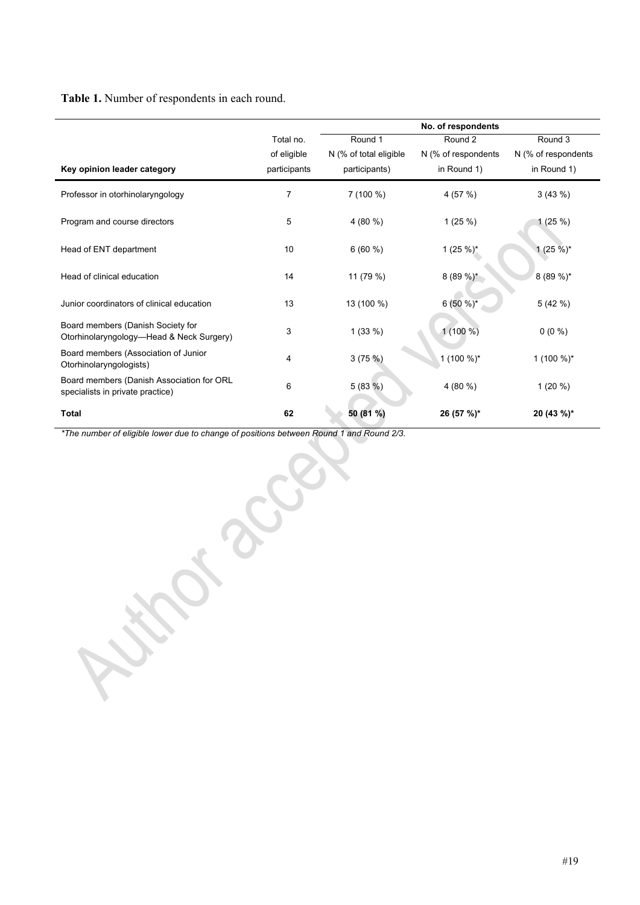# **Table 1.** Number of respondents in each round.

|                                                                               |                                          | No. of respondents                                 |                                               |                                               |
|-------------------------------------------------------------------------------|------------------------------------------|----------------------------------------------------|-----------------------------------------------|-----------------------------------------------|
| Key opinion leader category                                                   | Total no.<br>of eligible<br>participants | Round 1<br>N (% of total eligible<br>participants) | Round 2<br>N (% of respondents<br>in Round 1) | Round 3<br>N (% of respondents<br>in Round 1) |
| Professor in otorhinolaryngology                                              | 7                                        | $7(100\%)$                                         | 4 (57 %)                                      | 3(43%)                                        |
| Program and course directors                                                  | 5                                        | 4 (80 %)                                           | 1(25%)                                        | 1(25%)                                        |
| Head of ENT department                                                        | 10                                       | 6(60%)                                             | 1 (25 %)*                                     | $1(25\%)^*$                                   |
| Head of clinical education                                                    | 14                                       | 11 (79 %)                                          | $8(89\%)^*$                                   | 8 (89 %)*                                     |
| Junior coordinators of clinical education                                     | 13                                       | 13 (100 %)                                         | $6(50\%)^*$                                   | 5 (42 %)                                      |
| Board members (Danish Society for<br>Otorhinolaryngology—Head & Neck Surgery) | 3                                        | 1(33%)                                             | $1(100\%)$                                    | $0(0\%)$                                      |
| Board members (Association of Junior<br>Otorhinolaryngologists)               | 4                                        | 3(75%)                                             | 1 (100 %)*                                    | 1 $(100\%)^*$                                 |
| Board members (Danish Association for ORL<br>specialists in private practice) | 6                                        | 5(83%)                                             | 4(80%                                         | $1(20\%)$                                     |
| <b>Total</b>                                                                  | 62                                       | 50 (81 %)                                          | 26 (57 %)*                                    | 20 (43 %)*                                    |

*\*The number of eligible lower due to change of positions between Round 1 and Round 2/3.*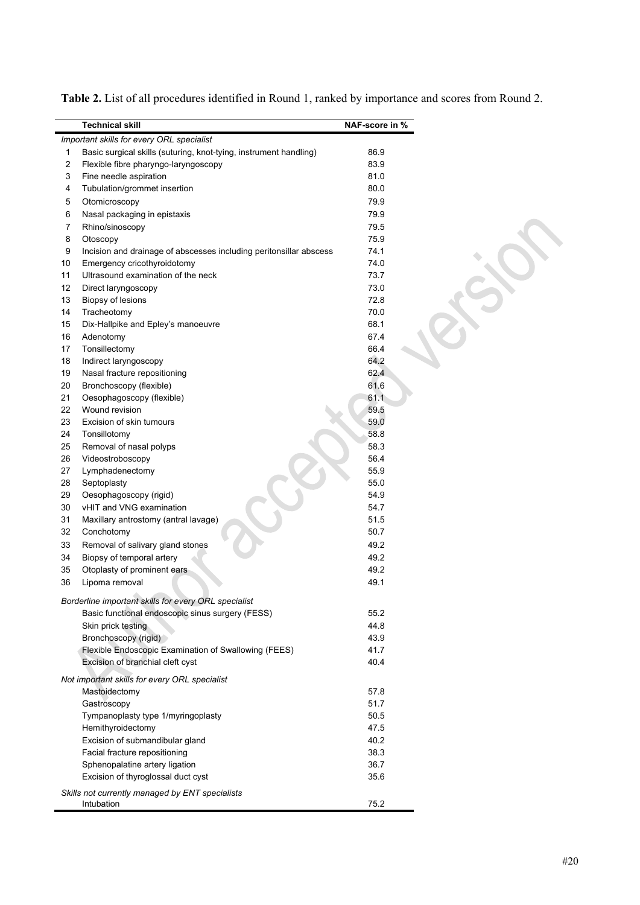|    | <b>Technical skill</b>                                             | NAF-score in % |
|----|--------------------------------------------------------------------|----------------|
|    | Important skills for every ORL specialist                          |                |
| 1  | Basic surgical skills (suturing, knot-tying, instrument handling)  | 86.9           |
| 2  | Flexible fibre pharyngo-laryngoscopy                               | 83.9           |
| 3  | Fine needle aspiration                                             | 81.0           |
| 4  | Tubulation/grommet insertion                                       | 80.0           |
| 5  | Otomicroscopy                                                      | 79.9           |
| 6  | Nasal packaging in epistaxis                                       | 79.9           |
| 7  | Rhino/sinoscopy                                                    | 79.5           |
| 8  | Otoscopy                                                           | 75.9           |
| 9  | Incision and drainage of abscesses including peritonsillar abscess | 74.1           |
| 10 | Emergency cricothyroidotomy                                        | 74.0           |
| 11 | Ultrasound examination of the neck                                 | 73.7           |
| 12 | Direct laryngoscopy                                                | 73.0           |
| 13 | Biopsy of lesions                                                  | 72.8           |
| 14 | Tracheotomy                                                        | 70.0           |
| 15 | Dix-Hallpike and Epley's manoeuvre                                 | 68.1           |
| 16 | Adenotomy                                                          | 67.4           |
| 17 | Tonsillectomy                                                      | 66.4           |
| 18 | Indirect laryngoscopy                                              | 64.2           |
| 19 | Nasal fracture repositioning                                       | 62.4           |
| 20 | Bronchoscopy (flexible)                                            | 61.6           |
| 21 | Oesophagoscopy (flexible)                                          | 61.1           |
| 22 | Wound revision                                                     | 59.5           |
| 23 | Excision of skin tumours                                           | 59.0           |
| 24 | Tonsillotomy                                                       | 58.8           |
| 25 | Removal of nasal polyps                                            | 58.3           |
| 26 | Videostroboscopy                                                   | 56.4           |
| 27 | Lymphadenectomy                                                    | 55.9           |
| 28 | Septoplasty                                                        | 55.0           |
| 29 | Oesophagoscopy (rigid)                                             | 54.9           |
| 30 | vHIT and VNG examination                                           | 54.7           |
| 31 | Maxillary antrostomy (antral lavage)                               | 51.5           |
| 32 | Conchotomy                                                         | 50.7           |
| 33 | Removal of salivary gland stones                                   | 49.2           |
| 34 | Biopsy of temporal artery                                          | 49.2           |
| 35 | Otoplasty of prominent ears                                        | 49.2           |
| 36 | Lipoma removal                                                     | 49.1           |
|    | Borderline important skills for every ORL specialist               |                |
|    | Basic functional endoscopic sinus surgery (FESS)                   | 55.2           |
|    | Skin prick testing                                                 | 44.8           |
|    | Bronchoscopy (rigid)                                               | 43.9           |
|    | Flexible Endoscopic Examination of Swallowing (FEES)               | 41.7           |
|    | Excision of branchial cleft cyst                                   | 40.4           |
|    |                                                                    |                |
|    | Not important skills for every ORL specialist                      |                |
|    | Mastoidectomy                                                      | 57.8           |
|    | Gastroscopy                                                        | 51.7           |
|    | Tympanoplasty type 1/myringoplasty                                 | 50.5           |
|    | Hemithyroidectomy                                                  | 47.5           |
|    | Excision of submandibular gland                                    | 40.2           |
|    | Facial fracture repositioning                                      | 38.3           |
|    | Sphenopalatine artery ligation                                     | 36.7           |
|    | Excision of thyroglossal duct cyst                                 | 35.6           |
|    | Skills not currently managed by ENT specialists                    |                |
|    | Intubation                                                         | 75.2           |

**Table 2.** List of all procedures identified in Round 1, ranked by importance and scores from Round 2.